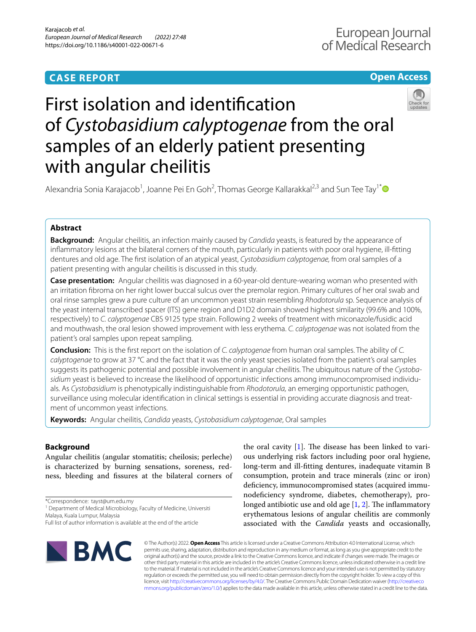# **CASE REPORT**

# **Open Access**



# First isolation and identifcation of *Cystobasidium calyptogenae* from the oral samples of an elderly patient presenting with angular cheilitis

Alexandria Sonia Karajacob<sup>1</sup>, Joanne Pei En Goh<sup>2</sup>, Thomas George Kallarakkal<sup>2,3</sup> and Sun Tee Tay<sup>1[\\*](http://orcid.org/0000-0002-3120-6998)</sup>

## **Abstract**

**Background:** Angular cheilitis, an infection mainly caused by *Candida* yeasts, is featured by the appearance of infammatory lesions at the bilateral corners of the mouth, particularly in patients with poor oral hygiene, ill-ftting dentures and old age. The frst isolation of an atypical yeast, *Cystobasidium calyptogenae,* from oral samples of a patient presenting with angular cheilitis is discussed in this study.

**Case presentation:** Angular cheilitis was diagnosed in a 60-year-old denture-wearing woman who presented with an irritation fbroma on her right lower buccal sulcus over the premolar region. Primary cultures of her oral swab and oral rinse samples grew a pure culture of an uncommon yeast strain resembling *Rhodotorula* sp. Sequence analysis of the yeast internal transcribed spacer (ITS) gene region and D1D2 domain showed highest similarity (99.6% and 100%, respectively) to *C. calyptogenae* CBS 9125 type strain. Following 2 weeks of treatment with miconazole/fusidic acid and mouthwash, the oral lesion showed improvement with less erythema. *C. calyptogenae* was not isolated from the patient's oral samples upon repeat sampling.

**Conclusion:** This is the frst report on the isolation of *C. calyptogenae* from human oral samples. The ability of *C. calyptogenae* to grow at 37 °C and the fact that it was the only yeast species isolated from the patient's oral samples suggests its pathogenic potential and possible involvement in angular cheilitis. The ubiquitous nature of the *Cystobasidium* yeast is believed to increase the likelihood of opportunistic infections among immunocompromised individuals. As *Cystobasidium* is phenotypically indistinguishable from *Rhodotorula,* an emerging opportunistic pathogen, surveillance using molecular identifcation in clinical settings is essential in providing accurate diagnosis and treatment of uncommon yeast infections.

**Keywords:** Angular cheilitis, *Candida* yeasts, *Cystobasidium calyptogenae*, Oral samples

# **Background**

Angular cheilitis (angular stomatitis; cheilosis; perleche) is characterized by burning sensations, soreness, redness, bleeding and fssures at the bilateral corners of

\*Correspondence: tayst@um.edu.my

<sup>1</sup> Department of Medical Microbiology, Faculty of Medicine, Universiti Malaya, Kuala Lumpur, Malaysia

**BMC** 

the oral cavity  $[1]$  $[1]$ . The disease has been linked to various underlying risk factors including poor oral hygiene, long-term and ill-ftting dentures, inadequate vitamin B consumption, protein and trace minerals (zinc or iron) deficiency, immunocompromised states (acquired immunodefciency syndrome, diabetes, chemotherapy), prolonged antibiotic use and old age  $[1, 2]$  $[1, 2]$  $[1, 2]$ . The inflammatory erythematous lesions of angular cheilitis are commonly associated with the *Candida* yeasts and occasionally,

© The Author(s) 2022. **Open Access** This article is licensed under a Creative Commons Attribution 4.0 International License, which permits use, sharing, adaptation, distribution and reproduction in any medium or format, as long as you give appropriate credit to the original author(s) and the source, provide a link to the Creative Commons licence, and indicate if changes were made. The images or other third party material in this article are included in the article's Creative Commons licence, unless indicated otherwise in a credit line to the material. If material is not included in the article's Creative Commons licence and your intended use is not permitted by statutory regulation or exceeds the permitted use, you will need to obtain permission directly from the copyright holder. To view a copy of this licence, visit [http://creativecommons.org/licenses/by/4.0/.](http://creativecommons.org/licenses/by/4.0/) The Creative Commons Public Domain Dedication waiver ([http://creativeco](http://creativecommons.org/publicdomain/zero/1.0/) [mmons.org/publicdomain/zero/1.0/](http://creativecommons.org/publicdomain/zero/1.0/)) applies to the data made available in this article, unless otherwise stated in a credit line to the data.

Full list of author information is available at the end of the article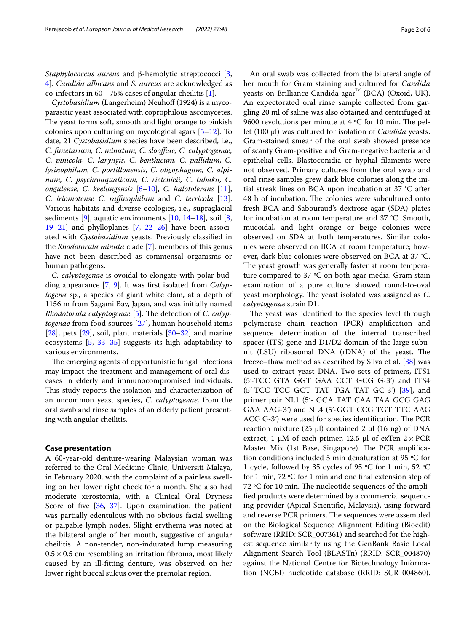*Staphylococcus aureus* and β-hemolytic streptococci [\[3](#page-4-2), [4\]](#page-4-3)*. Candida albicans* and *S. aureus* are acknowledged as co-infectors in 60—75% cases of angular cheilitis [[1\]](#page-4-0).

*Cystobasidium* (Langerheim) Neuhoff (1924) is a mycoparasitic yeast associated with coprophilous ascomycetes. The yeast forms soft, smooth and light orange to pinkish colonies upon culturing on mycological agars [[5–](#page-4-4)[12](#page-4-5)]. To date, 21 *Cystobasidium* species have been described, i.e., C*. fmetarium, C. minutum, C. sloofae, C. calyptogenae, C. pinicola, C. laryngis, C. benthicum, C. pallidum, C. lysinophilum, C. portillonensis, C. oligophagum, C. alpinum, C. psychroaquaticum, C. rietchieii, C. tubakii, C. ongulense, C. keelungensis* [[6–](#page-4-6)[10](#page-4-7)], *C. halotolerans* [\[11](#page-4-8)], *C. iriomotense C. rafnophilum* and *C. terricola* [\[13](#page-4-9)]. Various habitats and diverse ecologies, i.e., supraglacial sediments [[9](#page-4-10)], aquatic environments [[10,](#page-4-7) [14–](#page-4-11)[18](#page-5-0)], soil [\[8](#page-4-12), [19–](#page-5-1)[21](#page-5-2)] and phylloplanes [\[7](#page-4-13), [22–](#page-5-3)[26\]](#page-5-4) have been associated with *Cystobasidium* yeasts. Previously classifed in the *Rhodotorula minuta* clade [\[7](#page-4-13)], members of this genus have not been described as commensal organisms or human pathogens.

*C. calyptogenae* is ovoidal to elongate with polar budding appearance [\[7](#page-4-13), [9\]](#page-4-10). It was frst isolated from *Calyptogena* sp., a species of giant white clam, at a depth of 1156 m from Sagami Bay, Japan, and was initially named *Rhodotorula calyptogenae* [\[5](#page-4-4)]. The detection of *C. calyptogenae* from food sources [\[27](#page-5-5)], human household items [[28\]](#page-5-6), pets [[29](#page-5-7)], soil, plant materials [\[30](#page-5-8)[–32\]](#page-5-9) and marine ecosystems [\[5](#page-4-4), [33–](#page-5-10)[35](#page-5-11)] suggests its high adaptability to various environments.

The emerging agents of opportunistic fungal infections may impact the treatment and management of oral diseases in elderly and immunocompromised individuals. This study reports the isolation and characterization of an uncommon yeast species, *C. calyptogenae,* from the oral swab and rinse samples of an elderly patient presenting with angular cheilitis.

## **Case presentation**

A 60-year-old denture-wearing Malaysian woman was referred to the Oral Medicine Clinic, Universiti Malaya, in February 2020, with the complaint of a painless swelling on her lower right cheek for a month. She also had moderate xerostomia, with a Clinical Oral Dryness Score of five [\[36](#page-5-12), [37](#page-5-13)]. Upon examination, the patient was partially edentulous with no obvious facial swelling or palpable lymph nodes. Slight erythema was noted at the bilateral angle of her mouth, suggestive of angular cheilitis. A non-tender, non-indurated lump measuring  $0.5 \times 0.5$  cm resembling an irritation fibroma, most likely caused by an ill-ftting denture, was observed on her lower right buccal sulcus over the premolar region.

An oral swab was collected from the bilateral angle of her mouth for Gram staining and cultured for *Candida* yeasts on Brilliance Candida agar<sup>™</sup> (BCA) (Oxoid, UK). An expectorated oral rinse sample collected from gargling 20 ml of saline was also obtained and centrifuged at 9600 revolutions per minute at  $4 °C$  for 10 min. The pellet (100 μl) was cultured for isolation of *Candida* yeasts. Gram-stained smear of the oral swab showed presence of scanty Gram-positive and Gram-negative bacteria and epithelial cells. Blastoconidia or hyphal flaments were not observed. Primary cultures from the oral swab and oral rinse samples grew dark blue colonies along the initial streak lines on BCA upon incubation at 37 °C after 48 h of incubation. The colonies were subcultured onto fresh BCA and Sabouraud's dextrose agar (SDA) plates for incubation at room temperature and 37 °C. Smooth, mucoidal, and light orange or beige colonies were observed on SDA at both temperatures. Similar colonies were observed on BCA at room temperature; however, dark blue colonies were observed on BCA at 37 °C. The yeast growth was generally faster at room temperature compared to 37 ºC on both agar media. Gram stain examination of a pure culture showed round-to-oval yeast morphology. The yeast isolated was assigned as *C*.

*calyptogenae* strain D1.

The yeast was identified to the species level through polymerase chain reaction (PCR) amplifcation and sequence determination of the internal transcribed spacer (ITS) gene and D1/D2 domain of the large subunit (LSU) ribosomal DNA (rDNA) of the yeast. The freeze–thaw method as described by Silva et al. [\[38](#page-5-14)] was used to extract yeast DNA. Two sets of primers, ITS1 (5ʹ-TCC GTA GGT GAA CCT GCG G-3ʹ) and ITS4 (5ʹ-TCC TCC GCT TAT TGA TAT GC-3ʹ) [\[39\]](#page-5-15), and primer pair NL1 (5'- GCA TAT CAA TAA GCG GAG GAA AAG-3ʹ) and NL4 (5ʹ-GGT CCG TGT TTC AAG ACG  $G-3'$ ) were used for species identification. The PCR reaction mixture (25 μl) contained 2 μl (16 ng) of DNA extract, 1 μM of each primer, 12.5 μl of exTen  $2 \times PCR$ Master Mix (1st Base, Singapore). The PCR amplification conditions included 5 min denaturation at 95 ºC for 1 cycle, followed by 35 cycles of 95 ºC for 1 min, 52 ºC for 1 min, 72 ºC for 1 min and one fnal extension step of 72  $\degree$ C for 10 min. The nucleotide sequences of the amplifed products were determined by a commercial sequencing provider (Apical Scientifc, Malaysia), using forward and reverse PCR primers. The sequences were assembled on the Biological Sequence Alignment Editing (Bioedit) software (RRID: SCR\_007361) and searched for the highest sequence similarity using the GenBank Basic Local Alignment Search Tool (BLASTn) (RRID: SCR\_004870) against the National Centre for Biotechnology Information (NCBI) nucleotide database (RRID: SCR\_004860).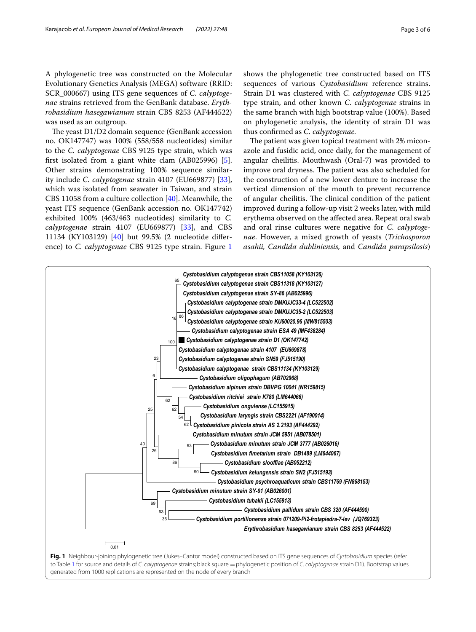A phylogenetic tree was constructed on the Molecular Evolutionary Genetics Analysis (MEGA) software (RRID: SCR\_000667) using ITS gene sequences of *C. calyptogenae* strains retrieved from the GenBank database. *Erythrobasidium hasegawianum* strain CBS 8253 (AF444522) was used as an outgroup.

The yeast  $D1/D2$  domain sequence (GenBank accession no. OK147747) was 100% (558/558 nucleotides) similar to the *C. calyptogenae* CBS 9125 type strain, which was frst isolated from a giant white clam (AB025996) [\[5](#page-4-4)]. Other strains demonstrating 100% sequence similarity include *C. calyptogenae* strain 4107 (EU669877) [\[33](#page-5-10)], which was isolated from seawater in Taiwan, and strain CBS 11058 from a culture collection [[40\]](#page-5-16). Meanwhile, the yeast ITS sequence (GenBank accession no. OK147742) exhibited 100% (463/463 nucleotides) similarity to *C. calyptogenae* strain 4107 (EU669877) [\[33](#page-5-10)], and CBS 11134 (KY103129) [[40\]](#page-5-16) but 99.5% (2 nucleotide diference) to *C. calyptogenae* CBS 9125 type strain. Figure [1](#page-2-0) shows the phylogenetic tree constructed based on ITS sequences of various *Cystobasidium* reference strains. Strain D1 was clustered with *C. calyptogenae* CBS 9125 type strain, and other known *C. calyptogenae* strains in the same branch with high bootstrap value (100%). Based on phylogenetic analysis, the identity of strain D1 was thus confrmed as *C. calyptogenae.*

The patient was given topical treatment with 2% miconazole and fusidic acid, once daily, for the management of angular cheilitis. Mouthwash (Oral-7) was provided to improve oral dryness. The patient was also scheduled for the construction of a new lower denture to increase the vertical dimension of the mouth to prevent recurrence of angular cheilitis. The clinical condition of the patient improved during a follow-up visit 2 weeks later, with mild erythema observed on the afected area. Repeat oral swab and oral rinse cultures were negative for *C. calyptogenae*. However, a mixed growth of yeasts (*Trichosporon asahii, Candida dubliniensis,* and *Candida parapsilosis*)



<span id="page-2-0"></span>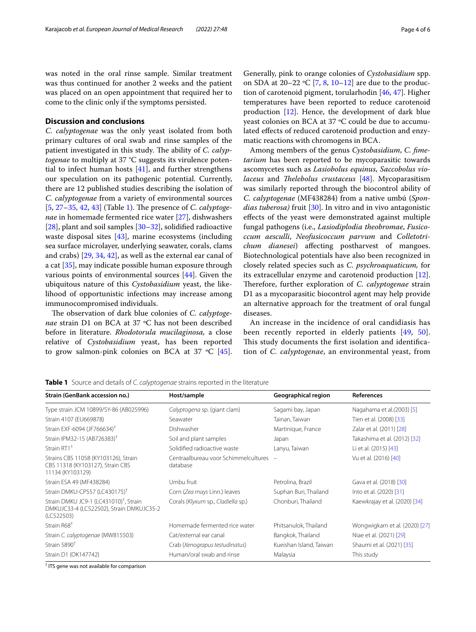was noted in the oral rinse sample. Similar treatment was thus continued for another 2 weeks and the patient was placed on an open appointment that required her to come to the clinic only if the symptoms persisted.

## **Discussion and conclusions**

*C. calyptogenae* was the only yeast isolated from both primary cultures of oral swab and rinse samples of the patient investigated in this study. The ability of *C. calyptogenae* to multiply at 37 °C suggests its virulence potential to infect human hosts  $[41]$  $[41]$  $[41]$ , and further strengthens our speculation on its pathogenic potential. Currently, there are 12 published studies describing the isolation of *C. calyptogenae* from a variety of environmental sources [[5,](#page-4-4) [27](#page-5-5)[–35](#page-5-11), [42,](#page-5-18) [43](#page-5-19)] (Table [1\)](#page-3-0). The presence of *C. calyptogenae* in homemade fermented rice water [\[27\]](#page-5-5), dishwashers [[28\]](#page-5-6), plant and soil samples [\[30](#page-5-8)[–32](#page-5-9)], solidifed radioactive waste disposal sites [\[43](#page-5-19)], marine ecosystems (including sea surface microlayer, underlying seawater, corals, clams and crabs) [[29,](#page-5-7) [34](#page-5-20), [42\]](#page-5-18), as well as the external ear canal of a cat [[35\]](#page-5-11), may indicate possible human exposure through various points of environmental sources [\[44\]](#page-5-21). Given the ubiquitous nature of this *Cystobasidium* yeast, the likelihood of opportunistic infections may increase among immunocompromised individuals.

The observation of dark blue colonies of *C. calyptogenae* strain D1 on BCA at 37 °C has not been described before in literature. *Rhodotorula mucilaginosa,* a close relative of *Cystobasidium* yeast, has been reported to grow salmon-pink colonies on BCA at 37  $°C$  [\[45](#page-5-22)].

Generally, pink to orange colonies of *Cystobasidium* spp. on SDA at 20–22 ºC [\[7](#page-4-13), [8](#page-4-12), [10](#page-4-7)[–12\]](#page-4-5) are due to the production of carotenoid pigment, torularhodin [[46,](#page-5-23) [47](#page-5-24)]. Higher temperatures have been reported to reduce carotenoid production [\[12](#page-4-5)]. Hence, the development of dark blue yeast colonies on BCA at 37 ºC could be due to accumulated effects of reduced carotenoid production and enzymatic reactions with chromogens in BCA.

Among members of the genus *Cystobasidium*, *C. fmetarium* has been reported to be mycoparasitic towards ascomycetes such as *Lasiobolus equinus*, *Saccobolus violaceus* and *Thelebolus crustaceus* [\[48\]](#page-5-25). Mycoparasitism was similarly reported through the biocontrol ability of *C. calyptogenae* (MF438284) from a native umbú (*Spondias tuberosa)* fruit [\[30](#page-5-8)]. In vitro and in vivo antagonistic efects of the yeast were demonstrated against multiple fungal pathogens (i.e., *Lasiodiplodia theobromae*, *Fusicoccum aesculli*, *Neofusicoccum parvum* and *Colletotrichum dianesei*) affecting postharvest of mangoes. Biotechnological potentials have also been recognized in closely related species such as *C. psychroaquaticum,* for its extracellular enzyme and carotenoid production [\[12](#page-4-5)]. Therefore, further exploration of *C. calyptogenae* strain D1 as a mycoparasitic biocontrol agent may help provide an alternative approach for the treatment of oral fungal diseases.

An increase in the incidence of oral candidiasis has been recently reported in elderly patients [[49,](#page-5-26) [50](#page-5-27)]. This study documents the first isolation and identification of *C. calyptogenae*, an environmental yeast, from

**Strain (GenBank accession no.) Host/sample Geographical region References** Type strain JCM 10899/SY-86 (AB025996) *Calyptogena* sp. (giant clam) Sagami bay, Japan Nagahama et al*.(*2003) [\[5](#page-4-4)] Strain 4107 (EU669878) Seawater Tainan, Taiwan Tien et al*.* (2008) [[33\]](#page-5-10) Strain EXF-6094 (JF766634)<sup>†</sup> Dishwasher Dishwasher Martinique, France Zalar et al. (2011) [[28\]](#page-5-6) Strain IPM32-15 (AB726383)† Soil and plant samples Japan Takashima et al*.* (2012) [\[32](#page-5-9)] Strain RT1<sup>†</sup> Solidified radioactive waste Lanyu, Taiwan Li et al. (2015) [\[43](#page-5-19)] Strains CBS 11058 (KY103126), Strain CBS 11318 (KY103127), Strain CBS 11134 (KY103129) Centraalbureau voor Schimmelcultures database – Vu et al*.* (2016) [\[40](#page-5-16)] Strain ESA 49 (MF438284) Umbu fruit Petrolina, Brazil Gava et al*.* (2018) [\[30\]](#page-5-8) Strain DMKU-CP557 (LC430175)† Corn (*Zea mays* Linn.) leaves Suphan Buri, Thailand Into et al*.* (2020) [[31\]](#page-5-28) Strain DMKU JC9-1 (LC431010)† , Strain DMKUJC33-4 (LC522502), Strain DMKUJC35-2 (LC522503) Corals (Klyxum sp., *Cladiella* sp.) Chonburi, Thailand Kaewkrajay et al. (2020) [\[34\]](#page-5-20) Strain R68† Homemade fermented rice water Phitsanulok, Thailand Wongwigkarn et al*.* (2020) [\[27\]](#page-5-5) Strain *C. calyptogenae* (MW815503) Cat/external ear canal Bangkok, Thailand Niae et al. (2021) [[29](#page-5-7)] Strain 5890† Crab (*Xenograpus testudinatus*) Kueishan Island, Taiwan Shaumi et al*.* (2021) [\[35](#page-5-11)] Strain D1 (OK147742) **Human/oral swab and rinse** Malaysia **Malaysia** This study

<span id="page-3-0"></span>**Table 1** Source and details of *C. calyptogenae* strains reported in the literature

† ITS gene was not available for comparison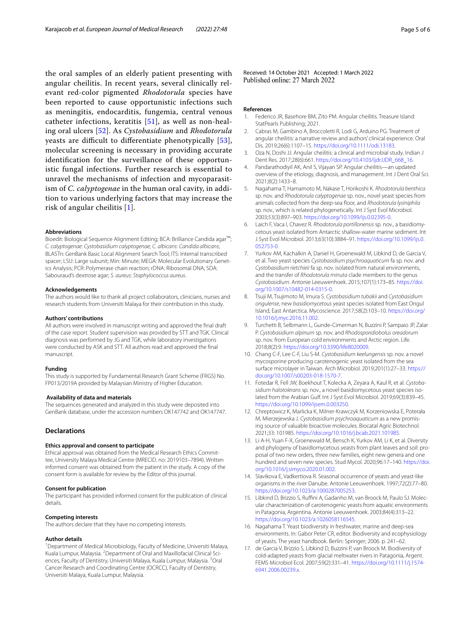the oral samples of an elderly patient presenting with angular cheilitis. In recent years, several clinically relevant red-color pigmented *Rhodotorula* species have been reported to cause opportunistic infections such as meningitis, endocarditis, fungemia, central venous catheter infections, keratitis [\[51](#page-5-29)], as well as non-healing oral ulcers [[52\]](#page-5-30). As *Cystobasidium* and *Rhodotorula* yeasts are difficult to differentiate phenotypically  $[53]$  $[53]$ , molecular screening is necessary in providing accurate identifcation for the surveillance of these opportunistic fungal infections. Further research is essential to unravel the mechanisms of infection and mycoparasitism of *C. calyptogenae* in the human oral cavity, in addition to various underlying factors that may increase the risk of angular cheilitis [[1\]](#page-4-0).

#### **Abbreviations**

Bioedit: Biological Sequence Alignment Editing; BCA: Brilliance Candida agar™; *C. calyptogenae*: *Cystobasidium calyptogenae*; *C. albicans*: *Candida albicans*; BLASTn: GenBank Basic Local Alignment Search Tool; ITS: Internal transcribed spacer; LSU: Large subunit; Min: Minute; MEGA: Molecular Evolutionary Genetics Analysis; PCR: Polymerase chain reaction; rDNA: Ribosomal DNA; SDA: Sabouraud's dextrose agar; *S. aureus*: *Staphylococcus aureus*.

#### **Acknowledgements**

The authors would like to thank all project collaborators, clinicians, nurses and research students from Universiti Malaya for their contribution in this study.

#### **Authors' contributions**

All authors were involved in manuscript writing and approved the fnal draft of the case report. Student supervision was provided by STT and TGK. Clinical diagnosis was performed by JG and TGK, while laboratory investigations were conducted by ASK and STT. All authors read and approved the fnal manuscript.

#### **Funding**

This study is supported by Fundamental Research Grant Scheme (FRGS) No. FP013/2019A provided by Malaysian Ministry of Higher Education.

#### **Availability of data and materials**

The sequences generated and analyzed in this study were deposited into GenBank database, under the accession numbers OK147742 and OK147747.

## **Declarations**

#### **Ethics approval and consent to participate**

Ethical approval was obtained from the Medical Research Ethics Committee, University Malaya Medical Centre (MRECID. no: 2019103–7894). Written informed consent was obtained from the patient in the study. A copy of the consent form is available for review by the Editor of this journal.

#### **Consent for publication**

The participant has provided informed consent for the publication of clinical details.

#### **Competing interests**

The authors declare that they have no competing interests.

#### **Author details**

<sup>1</sup> Department of Medical Microbiology, Faculty of Medicine, Universiti Malaya, Kuala Lumpur, Malaysia. <sup>2</sup> Department of Oral and Maxillofacial Clinical Sciences, Faculty of Dentistry, Universiti Malaya, Kuala Lumpur, Malaysia. <sup>3</sup>Oral Cancer Research and Coordinating Centre (OCRCC), Faculty of Dentistry, Universiti Malaya, Kuala Lumpur, Malaysia.

Received: 14 October 2021 Accepted: 1 March 2022<br>Published online: 27 March 2022

#### **References**

- <span id="page-4-0"></span>1. Federico JR, Basehore BM, Zito PM. Angular cheilitis. Treasure Island: StatPearls Publishing; 2021.
- <span id="page-4-1"></span>2. Cabras M, Gambino A, Broccoletti R, Lodi G, Arduino PG. Treatment of angular cheilitis: a narrative review and authors' clinical experience. Oral Dis. 2019;26(6):1107–15. [https://doi.org/10.1111/odi.13183.](https://doi.org/10.1111/odi.13183)
- <span id="page-4-2"></span>3. Oza N, Doshi JJ. Angular cheilitis: a clinical and microbial study. Indian J Dent Res. 2017;28(6):661. [https://doi.org/10.4103/ijdr.IJDR\\_668\\_16](https://doi.org/10.4103/ijdr.IJDR_668_16).
- <span id="page-4-3"></span>4. Pandarathodiyil AK, Anil S, Vijayan SP. Angular cheilitis—an updated overview of the etiology, diagnosis, and management. Int J Dent Oral Sci. 2021;8(2):1433–8.
- <span id="page-4-4"></span>5. Nagahama T, Hamamoto M, Nakase T, Horikoshi K. *Rhodotorula benthica* sp. nov. and *Rhodotorula calyptogenae* sp. nov., novel yeast species from animals collected from the deep-sea foor, and *Rhodotorula lysiniphila* sp. nov., which is related phylogenetically. Int J Syst Evol Microbiol. 2003;53(3):897–903. [https://doi.org/10.1099/ijs.0.02395-0.](https://doi.org/10.1099/ijs.0.02395-0)
- <span id="page-4-6"></span>6. Laich F, Vaca I, Chavez R. *Rhodotorula portillonensis* sp. nov., a basidiomycetous yeast isolated from Antarctic shallow-water marine sediment. Int J Syst Evol Microbiol. 2013;63(10):3884–91. [https://doi.org/10.1099/ijs.0.](https://doi.org/10.1099/ijs.0.052753-0) [052753-0.](https://doi.org/10.1099/ijs.0.052753-0)
- <span id="page-4-13"></span>7. Yurkov AM, Kachalkin A, Daniel H, Groenewald M, Libkind D, de Garcia V, et al. Two yeast species *Cystobasidium psychroaquaticum* fa sp. nov. and *Cystobasidium rietchieii* fa sp. nov. isolated from natural environments, and the transfer of *Rhodotorula minuta* clade members to the genus *Cystobasidium*. Antonie Leeuwenhoek. 2015;107(1):173–85. [https://doi.](https://doi.org/10.1007/s10482-014-0315-0) [org/10.1007/s10482-014-0315-0.](https://doi.org/10.1007/s10482-014-0315-0)
- <span id="page-4-12"></span>8. Tsuji M, Tsujimoto M, Imura S. *Cystobasidium tubakii* and *Cystobasidium ongulense*, new *basidiomycetous* yeast species isolated from East Ongul Island, East Antarctica. Mycoscience. 2017;58(2):103–10. [https://doi.org/](https://doi.org/10.1016/j.myc.2016.11.002) [10.1016/j.myc.2016.11.002.](https://doi.org/10.1016/j.myc.2016.11.002)
- <span id="page-4-10"></span>9. Turchetti B, Selbmann L, Gunde-Cimerman N, Buzzini P, Sampaio JP, Zalar P. *Cystobasidium alpinum* sp. nov. and *Rhodosporidiobolus oreadorum* sp. nov. from European cold environments and Arctic region. Life. 2018;8(2):9. [https://doi.org/10.3390/life8020009.](https://doi.org/10.3390/life8020009)
- <span id="page-4-7"></span>10. Chang C-F, Lee C-F, Liu S-M. *Cystobasidium keelungensis* sp. nov. a novel mycosporine producing carotenogenic yeast isolated from the sea surface microlayer in Taiwan. Arch Microbiol. 2019;201(1):27–33. [https://](https://doi.org/10.1007/s00203-018-1570-7) [doi.org/10.1007/s00203-018-1570-7](https://doi.org/10.1007/s00203-018-1570-7).
- <span id="page-4-8"></span>11. Fotedar R, Fell JW, Boekhout T, Kolecka A, Zeyara A, Kaul R, et al. *Cystobasidium halotolerans* sp. nov., a novel basidiomycetous yeast species isolated from the Arabian Gulf. Int J Syst Evol Microbiol. 2019;69(3):839–45. [https://doi.org/10.1099/ijsem.0.003250.](https://doi.org/10.1099/ijsem.0.003250)
- <span id="page-4-5"></span>12. Chreptowicz K, Marlicka K, Milner-Krawczyk M, Korzeniowska E, Poterała M, Mierzejewska J. *Cystobasidium psychroaquaticum* as a new promising source of valuable bioactive molecules. Biocatal Agric Biotechnol. 2021;33: 101985. [https://doi.org/10.1016/j.bcab.2021.101985.](https://doi.org/10.1016/j.bcab.2021.101985)
- <span id="page-4-9"></span>13. Li A-H, Yuan F-X, Groenewald M, Bensch K, Yurkov AM, Li K, et al. Diversity and phylogeny of basidiomycetous yeasts from plant leaves and soil: proposal of two new orders, three new families, eight new genera and one hundred and seven new species. Stud Mycol. 2020;96:17-140. [https://doi.](https://doi.org/10.1016/j.simyco.2020.01.002) [org/10.1016/j.simyco.2020.01.002](https://doi.org/10.1016/j.simyco.2020.01.002).
- <span id="page-4-11"></span>14. Slavikova E, Vadkertiova R. Seasonal occurrence of yeasts and yeast-like organisms in the river Danube. Antonie Leeuwenhoek. 1997;72(2):77–80. [https://doi.org/10.1023/a:1000287005253.](https://doi.org/10.1023/a:1000287005253)
- 15. Libkind D, Brizzio S, Rufni A, Gadanho M, van Broock M, Paulo SJ. Molecular characterization of carotenogenic yeasts from aquatic environments in Patagonia, Argentina. Antonie Leeuwenhoek. 2003;84(4):313–22. [https://doi.org/10.1023/a:1026058116545.](https://doi.org/10.1023/a:1026058116545)
- 16. Nagahama T. Yeast biodiversity in freshwater, marine and deep-sea environments. In: Gabor Peter CR, editor. Biodiversity and ecophysiology of yeasts. The yeast handbook. Berlin: Springer; 2006. p. 241–62.
- 17. de Garcia V, Brizzio S, Libkind D, Buzzini P, van Broock M. Biodiversity of cold-adapted yeasts from glacial meltwater rivers in Patagonia, Argent. FEMS Microbiol Ecol. 2007;59(2):331–41. [https://doi.org/10.1111/j.1574-](https://doi.org/10.1111/j.1574-6941.2006.00239.x) [6941.2006.00239.x](https://doi.org/10.1111/j.1574-6941.2006.00239.x).